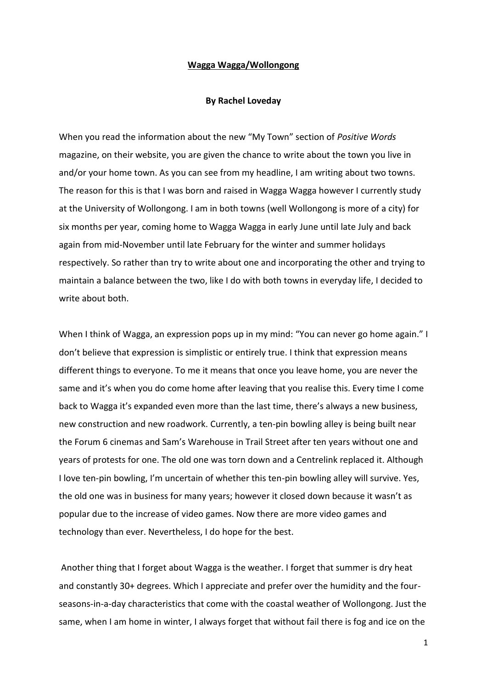## **Wagga Wagga/Wollongong**

## **By Rachel Loveday**

When you read the information about the new "My Town" section of *Positive Words* magazine, on their website, you are given the chance to write about the town you live in and/or your home town. As you can see from my headline, I am writing about two towns. The reason for this is that I was born and raised in Wagga Wagga however I currently study at the University of Wollongong. I am in both towns (well Wollongong is more of a city) for six months per year, coming home to Wagga Wagga in early June until late July and back again from mid-November until late February for the winter and summer holidays respectively. So rather than try to write about one and incorporating the other and trying to maintain a balance between the two, like I do with both towns in everyday life, I decided to write about both.

When I think of Wagga, an expression pops up in my mind: "You can never go home again." I don't believe that expression is simplistic or entirely true. I think that expression means different things to everyone. To me it means that once you leave home, you are never the same and it's when you do come home after leaving that you realise this. Every time I come back to Wagga it's expanded even more than the last time, there's always a new business, new construction and new roadwork. Currently, a ten-pin bowling alley is being built near the Forum 6 cinemas and Sam's Warehouse in Trail Street after ten years without one and years of protests for one. The old one was torn down and a Centrelink replaced it. Although I love ten-pin bowling, I'm uncertain of whether this ten-pin bowling alley will survive. Yes, the old one was in business for many years; however it closed down because it wasn't as popular due to the increase of video games. Now there are more video games and technology than ever. Nevertheless, I do hope for the best.

Another thing that I forget about Wagga is the weather. I forget that summer is dry heat and constantly 30+ degrees. Which I appreciate and prefer over the humidity and the fourseasons-in-a-day characteristics that come with the coastal weather of Wollongong. Just the same, when I am home in winter, I always forget that without fail there is fog and ice on the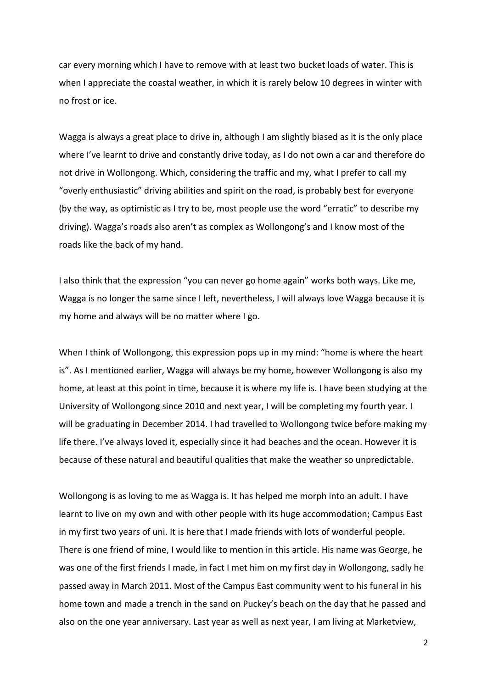car every morning which I have to remove with at least two bucket loads of water. This is when I appreciate the coastal weather, in which it is rarely below 10 degrees in winter with no frost or ice.

Wagga is always a great place to drive in, although I am slightly biased as it is the only place where I've learnt to drive and constantly drive today, as I do not own a car and therefore do not drive in Wollongong. Which, considering the traffic and my, what I prefer to call my "overly enthusiastic" driving abilities and spirit on the road, is probably best for everyone (by the way, as optimistic as I try to be, most people use the word "erratic" to describe my driving). Wagga's roads also aren't as complex as Wollongong's and I know most of the roads like the back of my hand.

I also think that the expression "you can never go home again" works both ways. Like me, Wagga is no longer the same since I left, nevertheless, I will always love Wagga because it is my home and always will be no matter where I go.

When I think of Wollongong, this expression pops up in my mind: "home is where the heart is". As I mentioned earlier, Wagga will always be my home, however Wollongong is also my home, at least at this point in time, because it is where my life is. I have been studying at the University of Wollongong since 2010 and next year, I will be completing my fourth year. I will be graduating in December 2014. I had travelled to Wollongong twice before making my life there. I've always loved it, especially since it had beaches and the ocean. However it is because of these natural and beautiful qualities that make the weather so unpredictable.

Wollongong is as loving to me as Wagga is. It has helped me morph into an adult. I have learnt to live on my own and with other people with its huge accommodation; Campus East in my first two years of uni. It is here that I made friends with lots of wonderful people. There is one friend of mine, I would like to mention in this article. His name was George, he was one of the first friends I made, in fact I met him on my first day in Wollongong, sadly he passed away in March 2011. Most of the Campus East community went to his funeral in his home town and made a trench in the sand on Puckey's beach on the day that he passed and also on the one year anniversary. Last year as well as next year, I am living at Marketview,